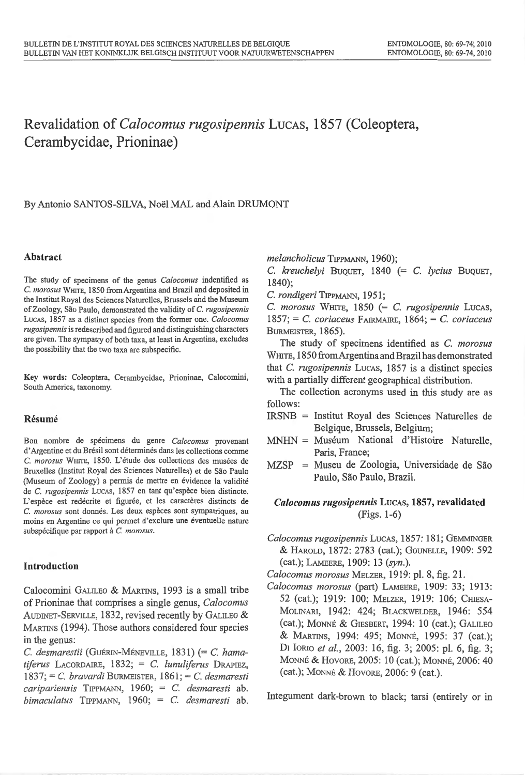# **Revalidation of** *Calocomus rugosipennis* LucAs, **1857 (Coleoptera, Cerambycidae, Prioninae)**

# By Antonio SANTOS-SILVA, Noel MAL and Alain DRUMONT

### **Abstract**

The study of specimens of the genus *Calocomus* indentified as C. *morosus* WHITE, 1850 from Argentina and Brazil and deposited in the lnstitut Royal des Sciences Naturelles, Brussels and the Museum of Zoology, Sao Paulo, demonstrated the validity of C. *rugosipennis*  LucAs, 1857 as a distinct species from the former one. *Calocomus rugosipennis* is redescribed and figured and distinguishing characters are given. The sympatry of both taxa, at least in Argentina, excludes the possibility that the two taxa are subspecific.

Key words: Coleoptera, Cerambycidae, Prioninae, Calocomini, South America, taxonomy.

#### **Resume**

Bon nombre de specimens du genre *Ca/ocomus* provenant d'Argentine et du Brésil sont déterminés dans les collections comme C. *morosus* WHITE, 1850. L'etude des collections des musees de Bruxelles (lnstitut Royal des Sciences Naturelles) et de Sao Paulo (Museum of Zoology) a permis de mettre en évidence la validité de C. *rugosipennis* Lucas, 1857 en tant qu'espèce bien distincte. L'espèce est redécrite et figurée, et les caractères distincts de C. *morosus* sont donnes. Les deux especes sont sympatriques, au moins en Argentine ce qui permet d'exclure une eventuelle nature subspécifique par rapport à C. morosus.

### **Introduction**

Calocomini GALILEO & MARTINS, 1993 is a small tribe of Prioninae that comprises a single genus, *Calocomus*  AUDINET-SERVILLE, 1832, revised recently by GALILEO & MARTINS (1994). Those authors considered four species in the genus:

C. *desmarestii* (GuERIN-MENEVILLE, 1831) (=C. *hamatiferus* LACORDAIRE, 1832; = C. *lunuliferus* DRAPIEZ, 1837; =C. *bravardi* BURMEISTER, 1861 ; =C. *desmaresti caripariensis* TIPPMANN, 1960; = C. *desmaresti* ab. *bimaculatus* TrPPMANN, 1960; = C. *desmaresti* ab. *melancholicus* TIPPMANN, 1960);

C. *kreuchelyi* BuQUET, 1840 (= C. *lycius* BuQUET, 1840);

C. *rondigeri* TIPPMANN, 1951;

C. *morosus* WHITE, 1850 (= C. *rugosipennis* LucAs, 1857; =C. *coriaceus* FAIRMAIRE, 1864; =C. *coriaceus*  BURMEISTER, 1865).

The study of specimens identified as C. *morosus*  WHITE, 1850 from Argentina and Brazil has demonstrated that *C. rugosipennis* Lucas, 1857 is a distinct species with a partially different geographical distribution.

The collection acronyms used in this study are as follows:

- IRSNB = Institut Royal des Sciences Natmelles de Belgique, Brussels, Belgium;
- MNHN = Muséum National d'Histoire Naturelle, Paris, France;
- $MZSP$  = Museu de Zoologia, Universidade de São Paulo, São Paulo, Brazil.

# *Calocomus rugosipennis* LucAs, **1857, revalidated**  (Figs. 1-6)

*Calocomus rugosipennis* LucAs, 1857: 181; GEMMrNGER & HAROLD, 1872: 2783 (cat.); GoUNELLE, 1909: 592 (cat.); LAMEERE, 1909: 13 *(syn.).* 

*Calocomus morosus* MELZER, 1919: pl. 8, fig. 21.

*Calocomus morosus* (part) LAMEERE, 1909: 33; 1913: 52 (cat.); 1919: 100; MELZER, 1919: 106; CHIESA-MOLINARI, 1942: 424; BLACKWELDER, 1946: 554 (cat.); MaNNE & GIESBERT, 1994: 10 (cat.); GALILEO & MARTINS, 1994: 495; MONNÉ, 1995: 37 (cat.); Dr IoRJo *et al. ,* 2003: 16, fig. 3; 2005: pl. 6, fig. 3; MaNNE & HovoRE, 2005: 10 (cat.); MONNE, 2006: 40 (cat.); MaNNE & HovoRE, 2006: 9 (cat.).

Integument dark-brown to black; tarsi (entirely or in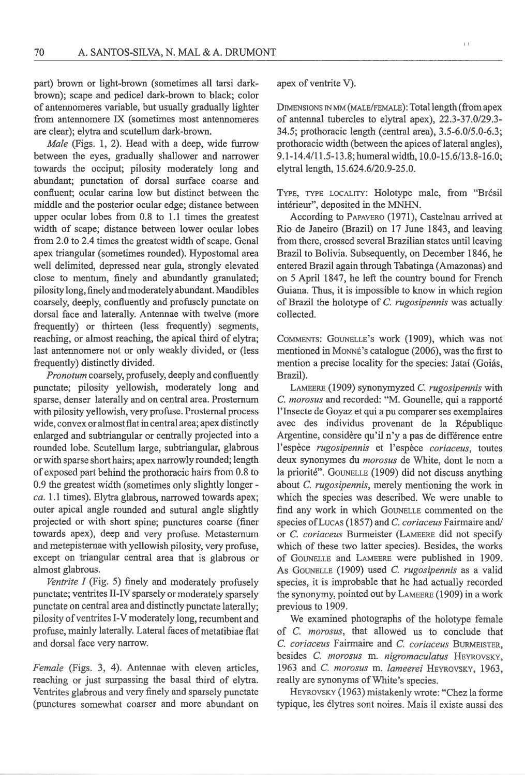part) brown or light-brown (sometimes all tarsi darkbrown); scape and pedicel dark-brown to black; color of antennomeres variable, but usually gradually lighter from antennomere IX (sometimes most antennomeres are clear); elytra and scutellum dark-brown.

*Male* (Figs. 1, 2). Head with a deep, wide furrow between the eyes, gradually shallower and narrower towards the occiput; pilosity moderately long and abundant; punctation of dorsal surface coarse and confluent; ocular carina low but distinct between the middle and the posterior ocular edge; distance between upper ocular lobes from 0.8 to 1.1 times the greatest width of scape; distance between lower ocular lobes from 2.0 to 2.4 times the greatest width of scape. Genal apex triangular (sometimes rounded). Hypostomal area well delimited, depressed near gula, strongly elevated close to mentum, finely and abundantly granulated; pilosity long, finely and moderately abundant. Mandibles coarsely, deeply, confluently and profusely punctate on dorsal face and laterally. Antennae with twelve (more frequently) or thirteen (less frequently) segments, reaching, or almost reaching, the apical third of elytra; last antennomere not or only weakly divided, or (less frequently) distinctly divided.

*Pro no tum* coarsely, profusely, deeply and confluently punctate; pilosity yellowish, moderately long and sparse, denser laterally and on central area. Prosternum with pilosity yellowish, very profuse. Prostemal process wide, convex or almost flat in central area; apex distinctly enlarged and subtriangular or centrally projected into a rounded lobe. Scutellum large, subtriangular, glabrous or with sparse short hairs; apex narrowly rounded; length of exposed part behind the prothoracic hairs from 0.8 to 0.9 the greatest width (sometimes only slightly longer*ca.* 1.1 times). Elytra glabrous, narrowed towards apex; outer apical angle rounded and sutural angle slightly projected or with short spine; punctures coarse (finer towards apex), deep and very profuse. Metasternum and metepistemae with yellowish pilosity, very profuse, except on triangular central area that is glabrous or almost glabrous.

*Ventrite I* (Fig. 5) finely and moderately profusely punctate; ventrites II-IV sparsely or moderately sparsely punctate on central area and distinctly punctate laterally; pilosity of ventrites I-V moderately long, recumbent and profuse, mainly laterally. Lateral faces of metatibiae flat and dorsal face very narrow.

*Female* (Figs. 3, 4). Antennae with eleven articles, reaching or just surpassing the basal third of elytra. Ventrites glabrous and very finely and sparsely punctate (punctures somewhat coarser and more abundant on apex of ventrite V).

DIMENSIONS IN MM (MALE/FEMALE): Total length (from apex of antenna! tubercles to elytral apex), 22.3-37.0/29.3- 34.5; prothoracic length (central area), 3.5-6.0/5.0-6.3; prothoracic width (between the apices of lateral angles), 9.1-14.4/11.5-13.8; humeral width, 10.0-15.6/13.8-16.0; elytral length, 15.624.6/20.9-25.0.

TYPE, TYPE LOCALITY: Holotype male, from "Brésil interieur", deposited in the MNHN.

According to PAPAVERO (1971), Castelnau arrived at Rio de Janeiro (Brazil) on 17 June 1843, and leaving from there, crossed several Brazilian states until leaving Brazil to Bolivia. Subsequently, on December 1846, he entered Brazil again through Tabatinga (Amazonas) and on 5 April 1847, he left the country bound for French Guiana. Thus, it is impossible to know in which region of Brazil the holotype of C. *rugosipennis* was actually collected.

COMMENTS: GOUNELLE's work (1909), which was not mentioned in Monné's catalogue (2006), was the first to mention a precise locality for the species: Jatai (Goias, Brazil).

LAMEERE (1909) synonymyzed C. *rugosipennis* with C. *morosus* and recorded: "M. Gounelle, qui a rapporte l'Insecte de Goyaz et qui a pu comparer ses exemplaires avec des individus provenant de la Republique Argentine, considère qu'il n'y a pas de différence entre l'espèce *rugosipennis* et l'espèce *coriaceus*, toutes deux synonymes du *morosus* de White, dont le nom a la priorité". GOUNELLE (1909) did not discuss anything about C. *rugosipennis,* merely mentioning the work in which the species was described. We were unable to find any work in which GOUNELLE commented on the species ofLucAs (1857) and C. *coriaceus* Fairmaire and/ or C. *coriaceus* Burmeister (LAMEERE did not specify which of these two latter species). Besides, the works of GouNELLE and LAMEERE were published in 1909. As GouneLLE (1909) used C. *rugosipennis* as a valid species, it is improbable that he had actually recorded the synonymy, pointed out by LAMEERE ( 1909) in a work previous to 1909.

We examined photographs of the holotype female of C. *morosus,* that allowed us to conclude that C. *coriaceus* Fairmaire and C. *coriaceus* BURMEISTER, besides C. morosus m. nigromaculatus HEYROVSKY, 1963 and C. *morosus* m. *lameerei* HEYROVSKY, 1963 , really are synonyms of White's species.

HEYROVSKY (1963) mistakenly wrote: "Chez Ia forme typique, les elytres sont noires. Mais il existe aussi des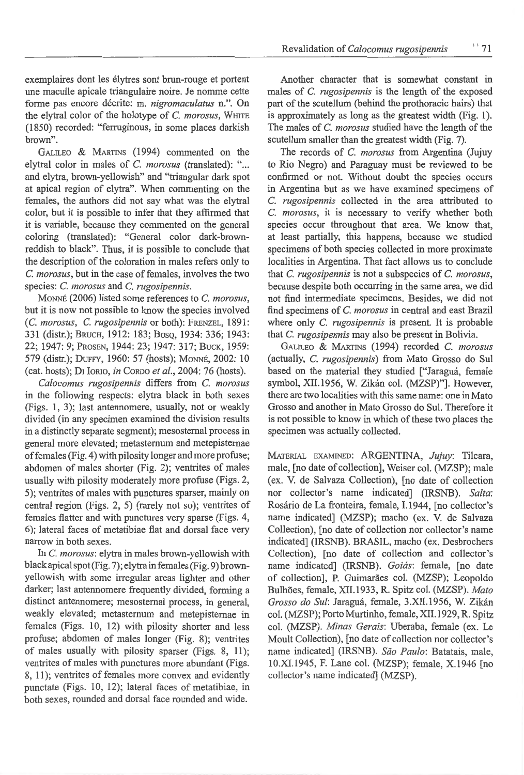exemplaires dont les elytres sont brun-rouge et portent une maculle apicale triangulaire noire. Je nomme cette fonne pas encore decrite: m. *nigromaculatus* n.". On the elytral color of the holotype of C. morosus, WHITE (1850) recorded: "ferruginous, in some places darkish brown".

GALILEO & MARTINS (1994) commented on the elytral color in males of C. *morosus* (translated): "... and elytra, brown-yellowish" and "triangular dark spot at apical region of elytra". When commenting on the females, the authors did not say what was the elytral color, but it is possible to infer that they affinned that it is variable, because they commented on the general coloring (translated): "General color dark-brownreddish to black". Thus, it is possible to conclude that the description of the coloration in males refers only to C. *morosus,* but in the case of females, involves the two species: C. *morosus* and C. *rugosipennis.* 

MoNN£ (2006) listed some references to C. *morosus,*  but it is now not possible to know the species involved (C. *morosus,* C. *rugosipennis* or both): FRENZEL, 1891: 331 (distr.); BRUCH, 1912: 183; BasQ, 1934: 336; 1943: 22; 1947: 9; PROSEN, 1944: 23; 1947: 317; BUCK, 1959: 579 (distr.); DUFFY, 1960: 57 (hosts); MaNNE, 2002: 10 (cat. hosts); D1 laRJa, *in* CoRDa *eta/.,* 2004: 76 (hosts).

*Calocomus rugosipennis* differs from C. *morosus*  in the following respects: elytra black in both sexes (Figs. 1, 3); last antennomere, usually, not or weakly divided (in any specimen examined the division results in a distinctly separate segment); mesosternal process in general more elevated; metasternum and metepisternae of females (Fig. 4) with pilosity longer and more profuse; abdomen of males shorter (Fig. 2); ventrites of males usually with pilosity moderately more profuse (Figs. 2, 5); ventrites of males with punctures sparser, mainly on central region (Figs. 2, 5) (rarely not so); ventrites of females flatter and with punctures very sparse (Figs. 4, 6); lateral faces of metatibiae flat and dorsal face very narrow in both sexes.

In C. *morosus:* elytra in males brown-yellowish with black apical spot (Fig. 7); elytra in females (Fig. 9) brownyellowish with some irregular areas lighter and other darker; last antennomere frequently divided, forming a distinct antennomere; mesosternal process, in general, weakly elevated; metasternum and metepisternae in females (Figs. 10, 12) with pilosity shorter and less profuse; abdomen of males longer (Fig. 8); ventrites of males usually with pilosity sparser (Figs. 8, 11); ventrites of males with punctures more abundant (Figs. 8, 11); ventrites of females more convex and evidently punctate (Figs. 10, 12); lateral faces of metatibiae, in both sexes, rounded and dorsal face rounded and wide.

Another character that is somewhat constant in males of C. *rugosipennis* is the length of the exposed part of the scutellum (behind the prothoracic hairs) that is approximately as long as the greatest width (Fig. 1). The males of C. *morosus* studied have the length of the scutellum smaller than the greatest width (Fig. 7).

The records of C. *morosus* from Argentina (Jujuy to Rio Negro) and Paraguay must be reviewed to be confirmed or not. Without doubt the species occurs in Argentina but as we have examined specimens of C. *rugosipennis* collected in the area attributed to C. *morosus,* it is necessary to verify whether both species occur throughout that area. We know that, at least partially, this happens, because we studied specimens of both species collected in more proximate localities in Argentina. That fact allows us to conclude that C. *rugosipennis* is not a subspecies of C. *morosus,*  because despite both occurring in the same area, we did not find intermediate specimens. Besides, we did not find specimens of C. morosus in central and east Brazil where only C. *rugosipennis* is present. It is probable that C. *rugosipennis* may also be present in Bolivia.

GALILEa & MARrTNs (1994) recorded C. *morosus*  (actually, C. *rugosipennis)* from Mato Grosso do Sul based on the material they studied ["Jaraguá, female symbol, XII.1956, W. Zikan col. (MZSP)"]. However, there are two localities with this same name: one in Mato Grosso and another in Mato Grosso do Sui. Therefore it is not possible to know in which of these two places the specimen was actually collected.

MATERJAL EXAMTNED: ARGENTINA, *Jujuy:* Tilcara, male, [no date of collection], Weiser col. (MZSP); male (ex. V. de Salvaza Collection), [no date of collection nor collector's name indicated] (IRSNB). *Salta:*  Rosário de La fronteira, female, I.1944, [no collector's name indicated] (MZSP); macho (ex. V. de Salvaza Collection), [no date of collection nor collector's name indicated] (IRSNB). BRASIL, macho (ex. Desbrochers Collection), [no date of collection and collector's name indicated] (IRSNB). *Goiás*: female, [no date of collection], P. Guimarães col. (MZSP); Leopoldo Bulh6es, female, XII.l933, R. Spitz col. (MZSP). *Mato Grosso do Sui:* Jaragua, female, 3.XII.1956, W. Zikan col. (MZSP); Porto Murtinho, female, XII.1929, R. Spitz col. (MZSP). *Minas Gerais:* Uberaba, female (ex. Le Moult Collection), [no date of collection nor collector's name indicated] (IRSNB). São Paulo: Batatais, male, 1 O.XI.1945, F. Lane col. (MZSP); female, X.1946 [no collector's name indicated] (MZSP).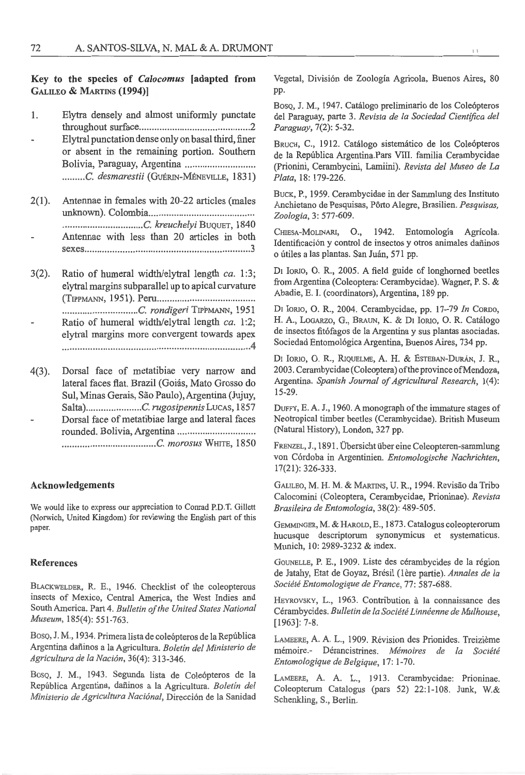## Key to the species of *Ca/ocomus* [adapted from GALILEO & MARTINS (1994))

- 1. Elytra densely and almost uniformly punctate throughout surface ............................................ 2
- Elytral punctation dense only on basal third, finer or absent in the remaining portion. Southern Bolivia, Paraguay, Argentina .......................... .. .........C. *desmarestii* (GUÉRIN-MÉNEVILLE, 1831)
- 2(1). Antennae in females with 20-22 articles (males unknown). Colombia ......................................... . ................................ C. *kreuchelyi* BuQUET, 1840 Antennae with less than 20 articles in both sexes ................................................................. 3
- 3(2). Ratio of humeral width/elytral length *ca.* 1 :3; elytral margins subparallel up to apical curvature (TIPPMANN, 1951). Peru ...................................... . .............................. C. *rondigeri* TlPPMANN, 1951 Ratio of humeral width/elytral length *ca*. 1:2; elytral margins more convergent towards apex .......................................................................... 4
- 4(3). Dorsal face of metatibiae very narrow and lateral faces flat. Brazil (Goiás, Mato Grosso do Sul, Minas Gerais, Sao Paulo),Argentina (Jujuy, Salta).......................C. rugosipennis LucAs, 1857 Dorsal face of metatibiae large and lateral faces rotmded. Bolivia, Argentina .............................. . ..................................... C. *morosus* WHITE, 1850

#### Acknowledgements

We would like to express our appreciation to Conrad P.D.T. Gillett (Norwich, United Kingdom) for reviewing the English part of this paper.

#### References

BLACKWELDER, R. E., 1946. Checklist of the coleopterous insects of Mexico, Central America, the West Indies and South America. Part 4. *Bulletin of the United States National Museum,* 185(4): 551-763.

Boso, J. M., 1934. Primera lista de coleópteros de la República Argentina dafiinos a Ia Agricultura. *Boletin del Ministerio de Agricultura de Ia Naci6n,* 36( 4): 313-346.

Boso, J. M., 1943. Segunda lista de Coleópteros de la República Argentina, dañinos a la Agricultura. *Boletín del Ministerio de Agricultura Naci6nal,* Direcci6n de Ia Sanidad

Vegetal, Division de Zoologia Agricola, Buenos Aires, 80 pp.

Boso, J. M., 1947. Catálogo preliminario de los Coleópteros del Paraguay, parte 3. *Revista de Ia Sociedad Cientifica del Paraguay,* 7(2): 5-32.

BRUCH, C., 1912. Catálogo sistemático de los Coleópteros de la Republica Argentina.Pars VIII. familia Cerambycidae (Prionini, Cerambycini, Lamiini). *Revista del Museo de La Plata,* 18: 179-226.

BUCK, P., 1959. Cerambycidae in der Sammlung des Instituto Anchietano de Pesquisas, Porto Alegre, Brasilien. *Pesquisas, Zoologia,* 3: 577-609 .

CHIESA-MOLINARI, O., 1942. Entomología Agrícola. Identificación y control de insectos y otros animales dañinos o útiles a las plantas. San Juán, 571 pp.

DI Iorio, O. R., 2005. A field guide of longhorned beetles from Argentina (Coleoptera: Cerambycidae). Wagner, P. S. & Abadie, E. I. (coordinators), Argentina, 189 pp.

DI IoRio, 0 . R., 2004. Cerambycidae, pp. 17-79 *In* CoRDo, H. A., LOGARZO, G., BRAUN, K. & DI IORIO, O. R. Catálogo de insectos fit6fagos de la Argentina y sus plantas asociadas. Sociedad Entomológica Argentina, Buenos Aires, 734 pp.

DI IORIO, O. R., RIQUELME, A. H. & ESTEBAN-DURÁN, J. R., 2003. Cerambycidae (Coleoptera) of the province ofMendoza, Argentina. *Spanish Journal of Agricultural Research,* 1(4): 15-29.

DuFFY, E. A. J., 1960. A monograph of the immature stages of Neotropical timber beetles (Cerambycidae). British Museum (Natural History), London, 327 pp.

FRENZEL, J., 1891. Übersicht über eine Coleopteren-sammlung von Córdoba in Argentinien. *Entomologische Nachrichten*, 17(21): 326-333.

GALILEO, M. H. M. & MARTINS, U. R., 1994. Revisao da Tribo Calocomini (Coleoptera, Cerambycidae, Prioninae). *Revista Brasileira de Entomologia,* 38(2): 489-505.

GEMMINGER, M. & HAROLD, E., 1873. Catalogus coleopterorum hucusque descriptorum synonymicus et systematicus. Munich, 10: 2989-3232 & index.

GOUNELLE, P. E., 1909. Liste des cérambycides de la région de Jatahy, Etat de Goyaz, Brésil (lère partie). Annales de la *Societe Entomologique de France,* 77: 587-688.

HEYROVSKY, L., 1963. Contribution à la connaissance des Cerambycides. *Bulletin de Ia Societe Linneenne de Mulhouse,*  [1963]: 7-8.

LAMEERE, A. A. L., 1909. Revision des Prionides. Treizieme memoire.- Derancistrines. *Memoires de la Societe Entomologique de Belgique,* 17: 1-70.

LAMEERE, A. A. L., 1913. Cerambycidae: Prioninae. Coleopterum Catalogus (pars 52) 22:1-108. Junk, W.& Schenkling, S., Berlin.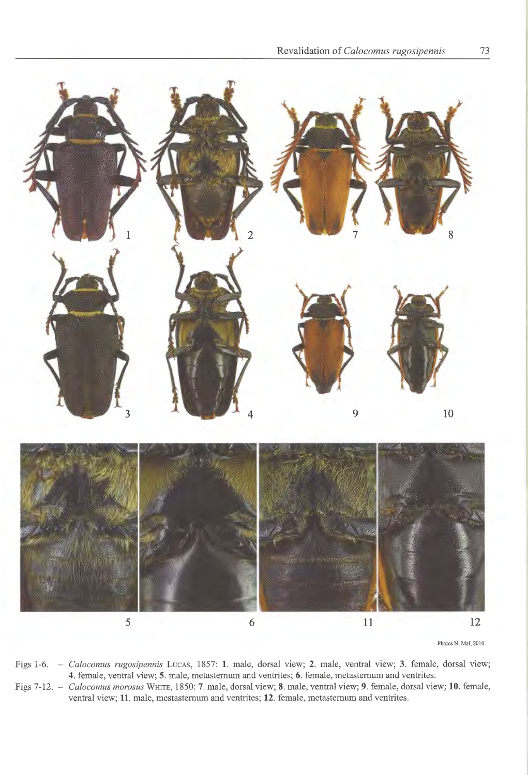

- Figs 1-6. - Calocomus rugosipennis LucAs, 1857: 1. male, dorsal view; 2. male, ventral view; 3. female, dorsal view; 4. female, ventral view; 5. male, metasternum and ventrites; 6. female, metasternum and ventrites.
- Figs 7-12. *Calocomus morosus* WHITE, 1850: 7. male, dorsal view; 8. male, ventral view; 9. female, dorsal view; 10. female, ventral view; 11. male, mestasternum and ventrites; 12. female, metasternum and ventrites.